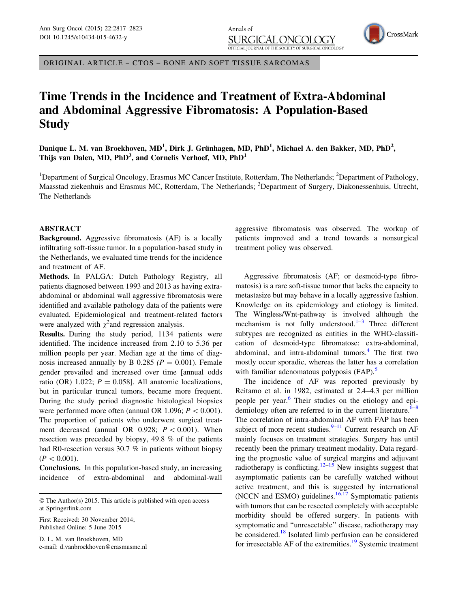Annals of )GY SURGICAL ONCOLOGY

ORIGINAL ARTICLE – CTOS – BONE AND SOFT TISSUE SARCOMAS

# Time Trends in the Incidence and Treatment of Extra-Abdominal and Abdominal Aggressive Fibromatosis: A Population-Based **Study**

Danique L. M. van Broekhoven, MD<sup>1</sup>, Dirk J. Grünhagen, MD, PhD<sup>1</sup>, Michael A. den Bakker, MD, PhD<sup>2</sup>, Thijs van Dalen, MD, PhD<sup>3</sup>, and Cornelis Verhoef, MD, PhD<sup>1</sup>

<sup>1</sup>Department of Surgical Oncology, Erasmus MC Cancer Institute, Rotterdam, The Netherlands; <sup>2</sup>Department of Pathology, Maasstad ziekenhuis and Erasmus MC, Rotterdam, The Netherlands; <sup>3</sup>Department of Surgery, Diakonessenhuis, Utrecht, The Netherlands

# ABSTRACT

Background. Aggressive fibromatosis (AF) is a locally infiltrating soft-tissue tumor. In a population-based study in the Netherlands, we evaluated time trends for the incidence and treatment of AF.

Methods. In PALGA: Dutch Pathology Registry, all patients diagnosed between 1993 and 2013 as having extraabdominal or abdominal wall aggressive fibromatosis were identified and available pathology data of the patients were evaluated. Epidemiological and treatment-related factors were analyzed with  $\chi^2$  and regression analysis.

Results. During the study period, 1134 patients were identified. The incidence increased from 2.10 to 5.36 per million people per year. Median age at the time of diagnosis increased annually by B 0.285 ( $P = 0.001$ ). Female gender prevailed and increased over time [annual odds ratio (OR) 1.022;  $P = 0.058$ ]. All anatomic localizations, but in particular truncal tumors, became more frequent. During the study period diagnostic histological biopsies were performed more often (annual OR 1.096;  $P < 0.001$ ). The proportion of patients who underwent surgical treatment decreased (annual OR 0.928;  $P \lt 0.001$ ). When resection was preceded by biopsy, 49.8 % of the patients had R0-resection versus 30.7 % in patients without biopsy  $(P<0.001)$ .

Conclusions. In this population-based study, an increasing incidence of extra-abdominal and abdominal-wall

First Received: 30 November 2014; Published Online: 5 June 2015

D. L. M. van Broekhoven, MD e-mail: d.vanbroekhoven@erasmusmc.nl

aggressive fibromatosis was observed. The workup of patients improved and a trend towards a nonsurgical treatment policy was observed.

CrossMark

Aggressive fibromatosis (AF; or desmoid-type fibromatosis) is a rare soft-tissue tumor that lacks the capacity to metastasize but may behave in a locally aggressive fashion. Knowledge on its epidemiology and etiology is limited. The Wingless/Wnt-pathway is involved although the mechanism is not fully understood. $1-3$  $1-3$  $1-3$  Three different subtypes are recognized as entities in the WHO-classification of desmoid-type fibromatose: extra-abdominal, abdominal, and intra-abdominal tumors. $4$  The first two mostly occur sporadic, whereas the latter has a correlation with familiar adenomatous polyposis (FAP).<sup>[5](#page-5-0)</sup>

The incidence of AF was reported previously by Reitamo et al. in 1982, estimated at 2.4–4.3 per million people per year.[6](#page-6-0) Their studies on the etiology and epidemiology often are referred to in the current literature. $6-8$ The correlation of intra-abdominal AF with FAP has been subject of more recent studies. $9-11$  $9-11$  $9-11$  Current research on AF mainly focuses on treatment strategies. Surgery has until recently been the primary treatment modality. Data regarding the prognostic value of surgical margins and adjuvant radiotherapy is conflicting.<sup>[12–15](#page-6-0)</sup> New insights suggest that asymptomatic patients can be carefully watched without active treatment, and this is suggested by international (NCCN and ESMO) guidelines. $16,17$  Symptomatic patients with tumors that can be resected completely with acceptable morbidity should be offered surgery. In patients with symptomatic and ''unresectable'' disease, radiotherapy may be considered.[18](#page-6-0) Isolated limb perfusion can be considered for irresectable AF of the extremities.<sup>[19](#page-6-0)</sup> Systemic treatment

<sup>©</sup> The Author(s) 2015. This article is published with open access at Springerlink.com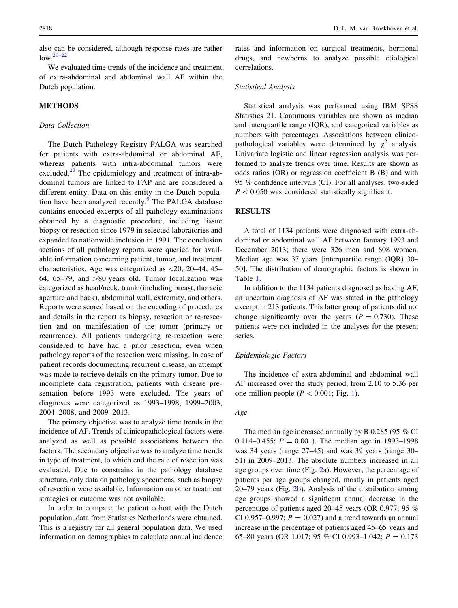also can be considered, although response rates are rather low.[20–22](#page-6-0)

We evaluated time trends of the incidence and treatment of extra-abdominal and abdominal wall AF within the Dutch population.

# **METHODS**

## Data Collection

The Dutch Pathology Registry PALGA was searched for patients with extra-abdominal or abdominal AF, whereas patients with intra-abdominal tumors were excluded. $^{23}$  $^{23}$  $^{23}$  The epidemiology and treatment of intra-abdominal tumors are linked to FAP and are considered a different entity. Data on this entity in the Dutch popula-tion have been analyzed recently.<sup>[9](#page-6-0)</sup> The PALGA database contains encoded excerpts of all pathology examinations obtained by a diagnostic procedure, including tissue biopsy or resection since 1979 in selected laboratories and expanded to nationwide inclusion in 1991. The conclusion sections of all pathology reports were queried for available information concerning patient, tumor, and treatment characteristics. Age was categorized as  $\langle 20, 20, 44, 45, \rangle$ 64, 65–79, and  $>80$  years old. Tumor localization was categorized as head/neck, trunk (including breast, thoracic aperture and back), abdominal wall, extremity, and others. Reports were scored based on the encoding of procedures and details in the report as biopsy, resection or re-resection and on manifestation of the tumor (primary or recurrence). All patients undergoing re-resection were considered to have had a prior resection, even when pathology reports of the resection were missing. In case of patient records documenting recurrent disease, an attempt was made to retrieve details on the primary tumor. Due to incomplete data registration, patients with disease presentation before 1993 were excluded. The years of diagnoses were categorized as 1993–1998, 1999–2003, 2004–2008, and 2009–2013.

The primary objective was to analyze time trends in the incidence of AF. Trends of clinicopathological factors were analyzed as well as possible associations between the factors. The secondary objective was to analyze time trends in type of treatment, to which end the rate of resection was evaluated. Due to constrains in the pathology database structure, only data on pathology specimens, such as biopsy of resection were available. Information on other treatment strategies or outcome was not available.

In order to compare the patient cohort with the Dutch population, data from Statistics Netherlands were obtained. This is a registry for all general population data. We used information on demographics to calculate annual incidence rates and information on surgical treatments, hormonal drugs, and newborns to analyze possible etiological correlations.

# Statistical Analysis

Statistical analysis was performed using IBM SPSS Statistics 21. Continuous variables are shown as median and interquartile range (IQR), and categorical variables as numbers with percentages. Associations between clinicopathological variables were determined by  $\chi^2$  analysis. Univariate logistic and linear regression analysis was performed to analyze trends over time. Results are shown as odds ratios (OR) or regression coefficient B (B) and with 95 % confidence intervals (CI). For all analyses, two-sided  $P < 0.050$  was considered statistically significant.

## **RESULTS**

A total of 1134 patients were diagnosed with extra-abdominal or abdominal wall AF between January 1993 and December 2013; there were 326 men and 808 women. Median age was 37 years [interquartile range (IQR) 30– 50]. The distribution of demographic factors is shown in Table [1](#page-2-0).

In addition to the 1134 patients diagnosed as having AF, an uncertain diagnosis of AF was stated in the pathology excerpt in 213 patients. This latter group of patients did not change significantly over the years ( $P = 0.730$ ). These patients were not included in the analyses for the present series.

#### Epidemiologic Factors

The incidence of extra-abdominal and abdominal wall AF increased over the study period, from 2.10 to 5.36 per one million people ( $P < 0.001$ ; Fig. [1\)](#page-2-0).

## Age

The median age increased annually by B 0.285 (95 % CI 0.114–0.455;  $P = 0.001$ . The median age in 1993–1998 was 34 years (range 27–45) and was 39 years (range 30– 51) in 2009–2013. The absolute numbers increased in all age groups over time (Fig. [2a](#page-3-0)). However, the percentage of patients per age groups changed, mostly in patients aged 20–79 years (Fig. [2](#page-3-0)b). Analysis of the distribution among age groups showed a significant annual decrease in the percentage of patients aged 20–45 years (OR 0.977; 95 % CI 0.957–0.997;  $P = 0.027$  and a trend towards an annual increase in the percentage of patients aged 45–65 years and 65–80 years (OR 1.017; 95 % CI 0.993–1.042;  $P = 0.173$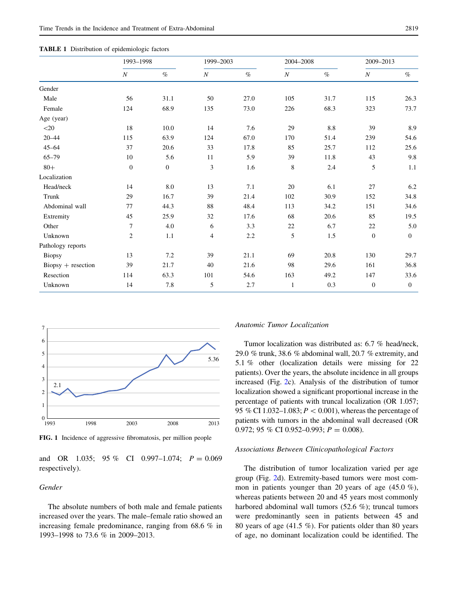<span id="page-2-0"></span>

|  |  |  |  |  |  |  | <b>TABLE 1</b> Distribution of epidemiologic factors |  |
|--|--|--|--|--|--|--|------------------------------------------------------|--|
|--|--|--|--|--|--|--|------------------------------------------------------|--|

|                             | 1993-1998        |                  | 1999-2003                |      | 2004-2008        |      | 2009-2013        |                |
|-----------------------------|------------------|------------------|--------------------------|------|------------------|------|------------------|----------------|
|                             | $\boldsymbol{N}$ | $\%$             | $\boldsymbol{N}$         | $\%$ | $\boldsymbol{N}$ | $\%$ | $\boldsymbol{N}$ | $\%$           |
| Gender                      |                  |                  |                          |      |                  |      |                  |                |
| Male                        | 56               | 31.1             | 50                       | 27.0 | 105              | 31.7 | 115              | 26.3           |
| Female                      | 124              | 68.9             | 135                      | 73.0 | 226              | 68.3 | 323              | 73.7           |
| Age (year)                  |                  |                  |                          |      |                  |      |                  |                |
| $<$ 20                      | 18               | 10.0             | 14                       | 7.6  | 29               | 8.8  | 39               | 8.9            |
| $20 - 44$                   | 115              | 63.9             | 124                      | 67.0 | 170              | 51.4 | 239              | 54.6           |
| $45 - 64$                   | 37               | 20.6             | 33                       | 17.8 | 85               | 25.7 | 112              | 25.6           |
| $65 - 79$                   | 10               | 5.6              | 11                       | 5.9  | 39               | 11.8 | 43               | 9.8            |
| $80+$                       | $\mathbf{0}$     | $\boldsymbol{0}$ | 3                        | 1.6  | 8                | 2.4  | 5                | 1.1            |
| Localization                |                  |                  |                          |      |                  |      |                  |                |
| Head/neck                   | 14               | 8.0              | 13                       | 7.1  | 20               | 6.1  | 27               | 6.2            |
| Trunk                       | 29               | 16.7             | 39                       | 21.4 | 102              | 30.9 | 152              | 34.8           |
| Abdominal wall              | 77               | 44.3             | 88                       | 48.4 | 113              | 34.2 | 151              | 34.6           |
| Extremity                   | 45               | 25.9             | 32                       | 17.6 | 68               | 20.6 | 85               | 19.5           |
| Other                       | 7                | 4.0              | 6                        | 3.3  | 22               | 6.7  | 22               | 5.0            |
| Unknown                     | $\boldsymbol{2}$ | 1.1              | $\overline{\mathcal{A}}$ | 2.2  | 5                | 1.5  | $\mathbf{0}$     | $\overline{0}$ |
| Pathology reports           |                  |                  |                          |      |                  |      |                  |                |
| <b>Biopsy</b>               | 13               | 7.2              | 39                       | 21.1 | 69               | 20.8 | 130              | 29.7           |
| $\text{Biopsy}$ + resection | 39               | 21.7             | 40                       | 21.6 | 98               | 29.6 | 161              | 36.8           |
| Resection                   | 114              | 63.3             | 101                      | 54.6 | 163              | 49.2 | 147              | 33.6           |
| Unknown                     | 14               | 7.8              | 5                        | 2.7  | 1                | 0.3  | $\mathbf{0}$     | $\mathbf{0}$   |



FIG. 1 Incidence of aggressive fibromatosis, per million people

and OR 1.035; 95 % CI 0.997-1.074;  $P = 0.069$ respectively).

# Gender

The absolute numbers of both male and female patients increased over the years. The male–female ratio showed an increasing female predominance, ranging from 68.6 % in 1993–1998 to 73.6 % in 2009–2013.

#### Anatomic Tumor Localization

Tumor localization was distributed as: 6.7 % head/neck, 29.0 % trunk, 38.6 % abdominal wall, 20.7 % extremity, and 5.1 % other (localization details were missing for 22 patients). Over the years, the absolute incidence in all groups increased (Fig. [2c](#page-3-0)). Analysis of the distribution of tumor localization showed a significant proportional increase in the percentage of patients with truncal localization (OR 1.057; 95 % CI 1.032–1.083;  $P < 0.001$ ), whereas the percentage of patients with tumors in the abdominal wall decreased (OR 0.972; 95 % CI 0.952-0.993;  $P = 0.008$ ).

#### Associations Between Clinicopathological Factors

The distribution of tumor localization varied per age group (Fig. [2d](#page-3-0)). Extremity-based tumors were most common in patients younger than 20 years of age (45.0 %), whereas patients between 20 and 45 years most commonly harbored abdominal wall tumors (52.6 %); truncal tumors were predominantly seen in patients between 45 and 80 years of age (41.5 %). For patients older than 80 years of age, no dominant localization could be identified. The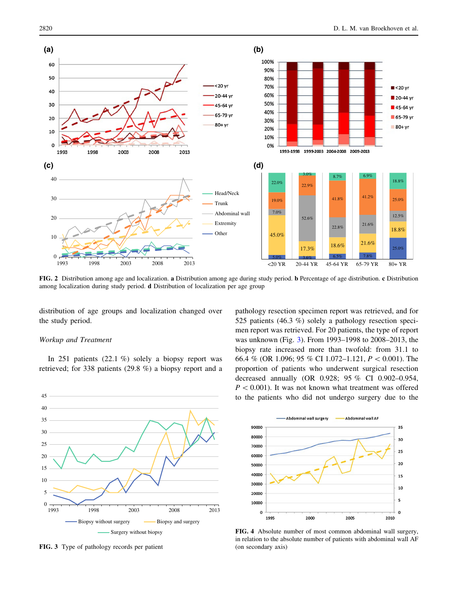<span id="page-3-0"></span>

FIG. 2 Distribution among age and localization. a Distribution among age during study period. b Percentage of age distribution. c Distribution among localization during study period. d Distribution of localization per age group

distribution of age groups and localization changed over the study period.

### Workup and Treatment

In 251 patients  $(22.1 \%)$  solely a biopsy report was retrieved; for 338 patients (29.8 %) a biopsy report and a



FIG. 3 Type of pathology records per patient

pathology resection specimen report was retrieved, and for 525 patients (46.3 %) solely a pathology resection specimen report was retrieved. For 20 patients, the type of report was unknown (Fig. 3). From 1993–1998 to 2008–2013, the biopsy rate increased more than twofold: from 31.1 to 66.4 % (OR 1.096; 95 % CI 1.072–1.121,  $P < 0.001$ ). The proportion of patients who underwent surgical resection decreased annually (OR 0.928; 95 % CI 0.902–0.954,  $P < 0.001$ ). It was not known what treatment was offered to the patients who did not undergo surgery due to the



FIG. 4 Absolute number of most common abdominal wall surgery, in relation to the absolute number of patients with abdominal wall AF (on secondary axis)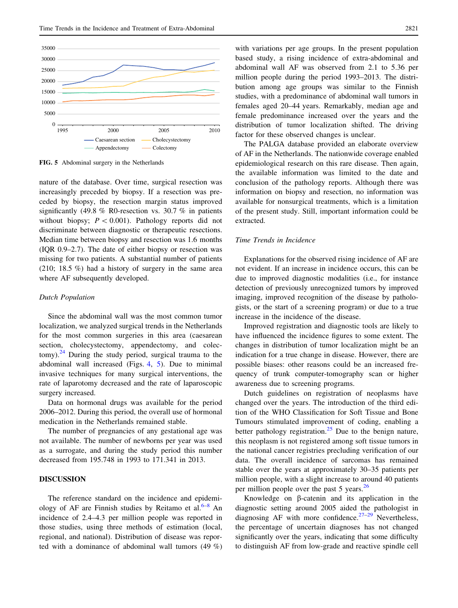

FIG. 5 Abdominal surgery in the Netherlands

nature of the database. Over time, surgical resection was increasingly preceded by biopsy. If a resection was preceded by biopsy, the resection margin status improved significantly (49.8 % R0-resection vs. 30.7 % in patients without biopsy;  $P \lt 0.001$ ). Pathology reports did not discriminate between diagnostic or therapeutic resections. Median time between biopsy and resection was 1.6 months (IQR 0.9–2.7). The date of either biopsy or resection was missing for two patients. A substantial number of patients (210; 18.5 %) had a history of surgery in the same area where AF subsequently developed.

#### Dutch Population

Since the abdominal wall was the most common tumor localization, we analyzed surgical trends in the Netherlands for the most common surgeries in this area (caesarean section, cholecystectomy, appendectomy, and colectomy). $^{24}$  $^{24}$  $^{24}$  During the study period, surgical trauma to the abdominal wall increased (Figs. [4](#page-3-0), 5). Due to minimal invasive techniques for many surgical interventions, the rate of laparotomy decreased and the rate of laparoscopic surgery increased.

Data on hormonal drugs was available for the period 2006–2012. During this period, the overall use of hormonal medication in the Netherlands remained stable.

The number of pregnancies of any gestational age was not available. The number of newborns per year was used as a surrogate, and during the study period this number decreased from 195.748 in 1993 to 171.341 in 2013.

# DISCUSSION

The reference standard on the incidence and epidemiology of AF are Finnish studies by Reitamo et al. $6-8$  An incidence of 2.4–4.3 per million people was reported in those studies, using three methods of estimation (local, regional, and national). Distribution of disease was reported with a dominance of abdominal wall tumors (49 %)

with variations per age groups. In the present population based study, a rising incidence of extra-abdominal and abdominal wall AF was observed from 2.1 to 5.36 per million people during the period 1993–2013. The distribution among age groups was similar to the Finnish studies, with a predominance of abdominal wall tumors in females aged 20–44 years. Remarkably, median age and female predominance increased over the years and the distribution of tumor localization shifted. The driving factor for these observed changes is unclear.

The PALGA database provided an elaborate overview of AF in the Netherlands. The nationwide coverage enabled epidemiological research on this rare disease. Then again, the available information was limited to the date and conclusion of the pathology reports. Although there was information on biopsy and resection, no information was available for nonsurgical treatments, which is a limitation of the present study. Still, important information could be extracted.

## Time Trends in Incidence

Explanations for the observed rising incidence of AF are not evident. If an increase in incidence occurs, this can be due to improved diagnostic modalities (i.e., for instance detection of previously unrecognized tumors by improved imaging, improved recognition of the disease by pathologists, or the start of a screening program) or due to a true increase in the incidence of the disease.

Improved registration and diagnostic tools are likely to have influenced the incidence figures to some extent. The changes in distribution of tumor localization might be an indication for a true change in disease. However, there are possible biases: other reasons could be an increased frequency of trunk computer-tomography scan or higher awareness due to screening programs.

Dutch guidelines on registration of neoplasms have changed over the years. The introduction of the third edition of the WHO Classification for Soft Tissue and Bone Tumours stimulated improvement of coding, enabling a better pathology registration.<sup>[25](#page-6-0)</sup> Due to the benign nature, this neoplasm is not registered among soft tissue tumors in the national cancer registries precluding verification of our data. The overall incidence of sarcomas has remained stable over the years at approximately 30–35 patients per million people, with a slight increase to around 40 patients per million people over the past 5 years. $^{26}$  $^{26}$  $^{26}$ 

Knowledge on  $\beta$ -catenin and its application in the diagnostic setting around 2005 aided the pathologist in diagnosing AF with more confidence.<sup>[27–29](#page-6-0)</sup> Nevertheless, the percentage of uncertain diagnoses has not changed significantly over the years, indicating that some difficulty to distinguish AF from low-grade and reactive spindle cell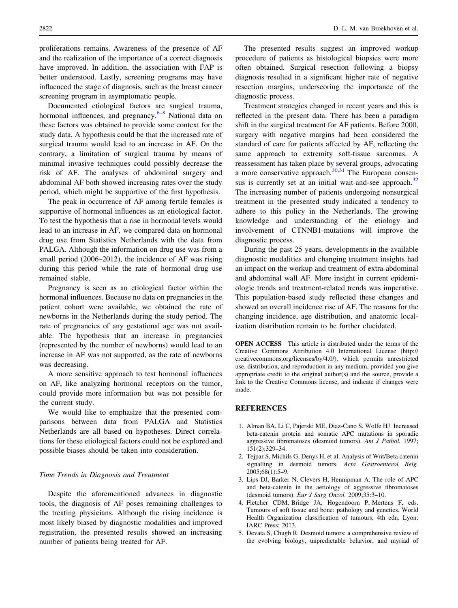<span id="page-5-0"></span>proliferations remains. Awareness of the presence of AF and the realization of the importance of a correct diagnosis have improved. In addition, the association with FAP is better understood. Lastly, screening programs may have influenced the stage of diagnosis, such as the breast cancer screening program in asymptomatic people.

Documented etiological factors are surgical trauma, hormonal influences, and pregnancy.<sup>[6–8](#page-6-0)</sup> National data on these factors was obtained to provide some context for the study data. A hypothesis could be that the increased rate of surgical trauma would lead to an increase in AF. On the contrary, a limitation of surgical trauma by means of minimal invasive techniques could possibly decrease the risk of AF. The analyses of abdominal surgery and abdominal AF both showed increasing rates over the study period, which might be supportive of the first hypothesis.

The peak in occurrence of AF among fertile females is supportive of hormonal influences as an etiological factor. To test the hypothesis that a rise in hormonal levels would lead to an increase in AF, we compared data on hormonal drug use from Statistics Netherlands with the data from PALGA. Although the information on drug use was from a small period (2006–2012), the incidence of AF was rising during this period while the rate of hormonal drug use remained stable.

Pregnancy is seen as an etiological factor within the hormonal influences. Because no data on pregnancies in the patient cohort were available, we obtained the rate of newborns in the Netherlands during the study period. The rate of pregnancies of any gestational age was not available. The hypothesis that an increase in pregnancies (represented by the number of newborns) would lead to an increase in AF was not supported, as the rate of newborns was decreasing.

A more sensitive approach to test hormonal influences on AF, like analyzing hormonal receptors on the tumor, could provide more information but was not possible for the current study.

We would like to emphasize that the presented comparisons between data from PALGA and Statistics Netherlands are all based on hypotheses. Direct correlations for these etiological factors could not be explored and possible biases should be taken into consideration.

## Time Trends in Diagnosis and Treatment

Despite the aforementioned advances in diagnostic tools, the diagnosis of AF poses remaining challenges to the treating physicians. Although the rising incidence is most likely biased by diagnostic modalities and improved registration, the presented results showed an increasing number of patients being treated for AF.

The presented results suggest an improved workup procedure of patients as histological biopsies were more often obtained. Surgical resection following a biopsy diagnosis resulted in a significant higher rate of negative resection margins, underscoring the importance of the diagnostic process.

Treatment strategies changed in recent years and this is reflected in the present data. There has been a paradigm shift in the surgical treatment for AF patients. Before 2000, surgery with negative margins had been considered the standard of care for patients affected by AF, reflecting the same approach to extremity soft-tissue sarcomas. A reassessment has taken place by several groups, advocating a more conservative approach. $30,31$  The European consensus is currently set at an initial wait-and-see approach. $32$ The increasing number of patients undergoing nonsurgical treatment in the presented study indicated a tendency to adhere to this policy in the Netherlands. The growing knowledge and understanding of the etiology and involvement of CTNNB1-mutations will improve the diagnostic process.

During the past 25 years, developments in the available diagnostic modalities and changing treatment insights had an impact on the workup and treatment of extra-abdominal and abdominal wall AF. More insight in current epidemiologic trends and treatment-related trends was imperative. This population-based study reflected these changes and showed an overall incidence rise of AF. The reasons for the changing incidence, age distribution, and anatomic localization distribution remain to be further elucidated.

OPEN ACCESS This article is distributed under the terms of the Creative Commons Attribution 4.0 International License (http:// creativecommons.org/licenses/by/4.0/), which permits unrestricted use, distribution, and reproduction in any medium, provided you give appropriate credit to the original author(s) and the source, provide a link to the Creative Commons license, and indicate if changes were made.

## **REFERENCES**

- 1. Alman BA, Li C, Pajerski ME, Diaz-Cano S, Wolfe HJ. Increased beta-catenin protein and somatic APC mutations in sporadic aggressive fibromatoses (desmoid tumors). Am J Pathol. 1997; 151(2):329–34.
- 2. Tejpar S, Michils G, Denys H, et al. Analysis of Wnt/Beta catenin signalling in desmoid tumors. Acta Gastroenterol Belg. 2005;68(1):5–9.
- 3. Lips DJ, Barker N, Clevers H, Hennipman A. The role of APC and beta-catenin in the aetiology of aggressive fibromatoses (desmoid tumors). Eur J Surg Oncol. 2009;35:3–10.
- 4. Fletcher CDM, Bridge JA, Hogendoorn P, Mertens F, eds. Tumours of soft tissue and bone: pathology and genetics. World Health Organization classification of tumours, 4th edn. Lyon: IARC Press; 2013.
- 5. Devata S, Chugh R. Desmoid tumors: a comprehensive review of the evolving biology, unpredictable behavior, and myriad of